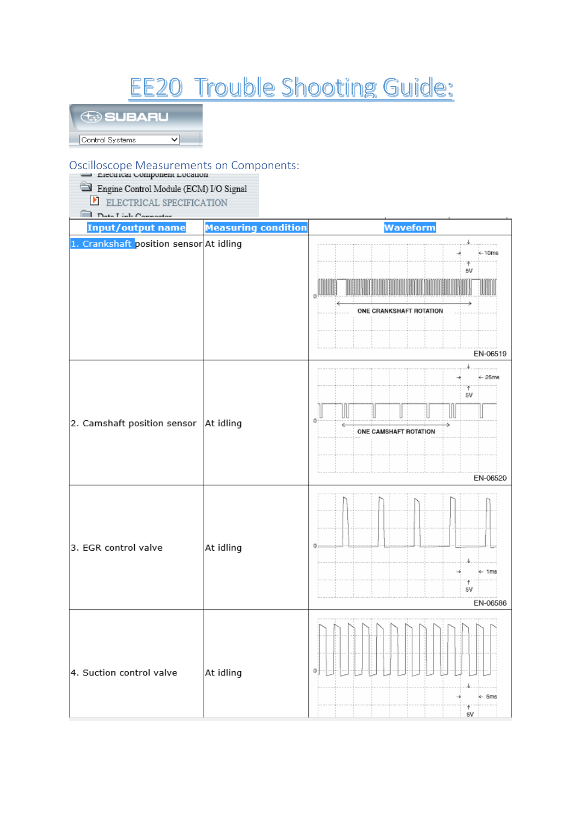# **EE20 Trouble Shooting Guide:**

## **SUBARU**

Control Systems  $\overline{\mathsf{v}}$ 

## Oscilloscope Measurements on Components:

| - Electrical Component Location         |                            |                                                                                          |
|-----------------------------------------|----------------------------|------------------------------------------------------------------------------------------|
| Engine Control Module (ECM) I/O Signal  |                            |                                                                                          |
| И<br>ELECTRICAL SPECIFICATION           |                            |                                                                                          |
| Data Link Connector                     |                            |                                                                                          |
| <b>Input/output name</b>                | <b>Measuring condition</b> | Waveform                                                                                 |
| 1. Crankshaft position sensor At idling |                            | $+10ms$<br>5V<br>ONE CRANKSHAFT ROTATION<br>EN-06519                                     |
| 2. Camshaft position sensor             | At idling                  | $\leftarrow$ 25ms<br>5V<br>Jl<br>Ш<br>o.<br>é<br>÷,<br>ONE CAMSHAFT ROTATION<br>EN-06520 |
| 3. EGR control valve                    | At idling                  | ← 1ms<br>4<br>5٧<br>EN-06586                                                             |
| 4. Suction control valve                | At idling                  | o<br>← 5ms<br>5V                                                                         |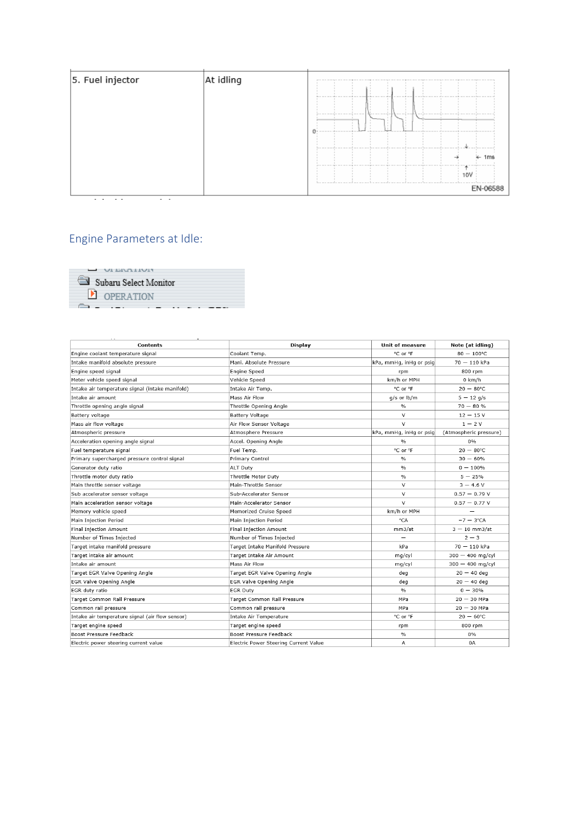| 5. Fuel injector | At idling | ----------------<br>------- |
|------------------|-----------|-----------------------------|
|                  |           | $-4$                        |
|                  |           | --                          |
|                  |           | Ime                         |
|                  |           | 10)                         |
|                  |           | be an age of<br>EN-06588    |

Engine Parameters at Idle:

| $\Box$ VILIVATIVIT    |  |
|-----------------------|--|
| Subaru Select Monitor |  |
| <b>DERATION</b>       |  |
|                       |  |

| <b>Contents</b>                                 | Display                               | Unit of measure         | Note (at idling)       |
|-------------------------------------------------|---------------------------------------|-------------------------|------------------------|
| Engine coolant temperature signal               | Coolant Temp.                         | °C or °F                | $80 - 100^{\circ}$ C   |
| Intake manifold absolute pressure               | Mani. Absolute Pressure               | kPa, mmHg, inHg or psig | $70 - 110$ kPa         |
| Engine speed signal                             | <b>Engine Speed</b>                   | rpm                     | 800 rpm                |
| Meter vehicle speed signal                      | Vehicle Speed                         | km/h or MPH             | $0$ km/h               |
| Intake air temperature signal (intake manifold) | Intake Air Temp.                      | °C or °F                | $20 - 80^{\circ}$ C    |
| Intake air amount                               | Mass Air Flow                         | g/s or lb/m             | $5 - 12$ g/s           |
| Throttle opening angle signal                   | Throttle Opening Angle                | $\frac{9}{6}$           | $70 - 80 %$            |
| Battery voltage                                 | Battery Voltage                       | $\vee$                  | $12 - 15V$             |
| Mass air flow voltage                           | Air Flow Sensor Voltage               | $\vee$                  | $1 - 2V$               |
| Atmospheric pressure                            | Atmosphere Pressure                   | kPa, mmHq, inHq or psiq | (Atmospheric pressure) |
| Acceleration opening angle signal               | Accel. Opening Angle                  | $\frac{0}{\alpha}$      | 0%                     |
| Fuel temperature signal                         | Fuel Temp.                            | °C or °F                | $20 - 80^{\circ}$ C    |
| Primary supercharged pressure control signal    | Primary Control                       | $\frac{0}{0}$           | $30 - 60%$             |
| Generator duty ratio                            | <b>ALT Duty</b>                       | $\%$                    | $0 - 100\%$            |
| Throttle motor duty ratio                       | Throttle Motor Duty                   | $\frac{9}{6}$           | $5 - 25%$              |
| Main throttle sensor voltage                    | Main-Throttle Sensor                  | V                       | $3 - 4.6 V$            |
| Sub accelerator sensor voltage                  | Sub-Accelerator Sensor                | $\vee$                  | $0.57 - 0.79 V$        |
| Main acceleration sensor voltage                | Main-Accelerator Sensor               | $\vee$                  | $0.57 - 0.77 V$        |
| Memory vehicle speed                            | Memorized Cruise Speed                | km/h or MPH             |                        |
| Main Injection Period                           | Main Injection Period                 | $^{\circ}$ CA           | $-7 - 3$ °CA           |
| Final Injection Amount                          | Final Injection Amount                | mm3/st                  | $3 - 10$ mm3/st        |
| Number of Times Injected                        | Number of Times Injected              | $\equiv$                | $2 - 3$                |
| Target intake manifold pressure                 | Target Intake Manifold Pressure       | kPa                     | $70 - 110$ kPa         |
| Target intake air amount                        | Target Intake Air Amount              | mg/cyl                  | $300 - 400$ mg/cyl     |
| Intake air amount                               | Mass Air Flow                         | mg/cyl                  | $300 - 400$ mg/cyl     |
| Target EGR Valve Opening Angle                  | Target EGR Valve Opening Angle        | deq                     | $20 - 40$ deg          |
| EGR Valve Opening Angle                         | EGR Valve Opening Angle               | deg                     | $20 - 40$ deg          |
| EGR duty ratio                                  | EGR Duty                              | $\%$                    | $0 - 30%$              |
| Target Common Rail Pressure                     | Target Common Rail Pressure           | MPa                     | $20 - 30$ MPa          |
| Common rail pressure                            | Common rail pressure                  | MPa                     | $20 - 30$ MPa          |
| Intake air temperature signal (air flow sensor) | Intake Air Temperature                | °C or °F                | $20 - 60^{\circ}$ C    |
| Target engine speed                             | Target engine speed                   | rpm                     | 800 rpm                |
| Boost Pressure Feedback                         | Boost Pressure Feedback               | $\frac{9}{6}$           | 0%                     |
| Electric power steering current value           | Electric Power Steering Current Value | А                       | 0A                     |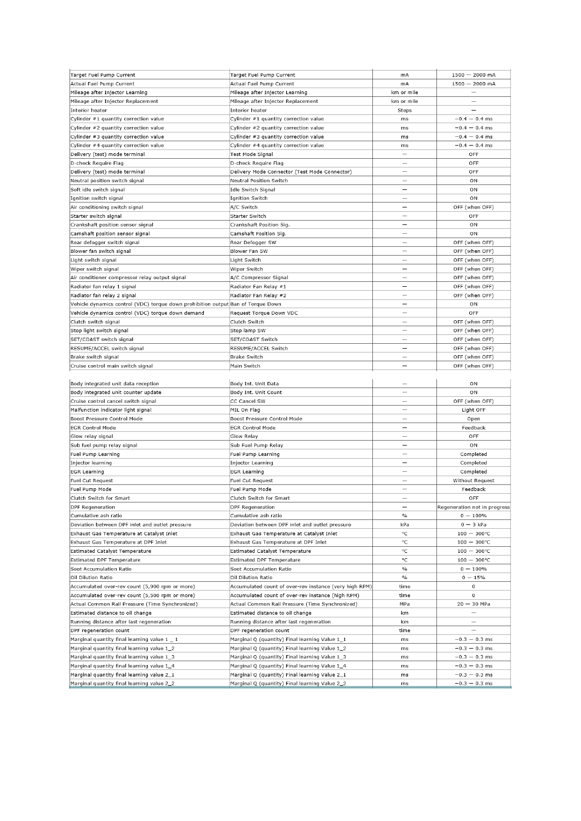| Target Fuel Pump Current                                                         | Target Fuel Pump Current                               | mA                       | $1500 - 2000$ mA             |
|----------------------------------------------------------------------------------|--------------------------------------------------------|--------------------------|------------------------------|
| Actual Fuel Pump Current                                                         | Actual Fuel Pump Current                               | mA                       | $1500 - 2000$ mA             |
| Mileage after Injector Learning                                                  | Mileage after Injector Learning                        | km or mile               |                              |
|                                                                                  |                                                        | km or mile               | $\overline{\phantom{0}}$     |
| Mileage after Injector Replacement                                               | Mileage after Injector Replacement                     |                          |                              |
| Interior heater                                                                  | Interior heater                                        | Steps                    | $\overline{\phantom{0}}$     |
| Cylinder #1 quantity correction value                                            | Cylinder #1 quantity correction value                  | ms                       | $-0.4 - 0.4$ ms              |
| Cylinder #2 quantity correction value                                            | Cylinder #2 quantity correction value                  | ms                       | $-0.4 - 0.4$ ms              |
| Cylinder #3 quantity correction value                                            | Cylinder #3 quantity correction value                  | ms                       | $-0.4 - 0.4$ ms              |
| Cylinder #4 quantity correction value                                            | Cylinder #4 quantity correction value                  | ms                       | $-0.4 - 0.4$ ms              |
| Delivery (test) mode terminal                                                    | Test Mode Signal                                       | $\overline{\phantom{0}}$ | OFF                          |
| D-check Require Flag                                                             | D-check Require Flag                                   | $\overline{\phantom{a}}$ | OFF                          |
| Delivery (test) mode terminal                                                    | Delivery Mode Connector (Test Mode Connector)          | $\overline{\phantom{0}}$ | OFF                          |
| Neutral position switch signal                                                   | <b>Neutral Position Switch</b>                         | $\overline{\phantom{0}}$ | ON                           |
| Soft idle switch signal                                                          | Idle Switch Signal                                     | $\overline{\phantom{0}}$ | ON                           |
|                                                                                  |                                                        | $\overline{\phantom{a}}$ |                              |
| Ignition switch signal                                                           | <b>Ignition Switch</b>                                 |                          | ON                           |
| Air conditioning switch signal                                                   | A/C Switch                                             | $\equiv$                 | OFF (when OFF)               |
| Starter switch signal                                                            | Starter Switch                                         |                          | OFF                          |
| Crankshaft position sensor signal                                                | Crankshaft Position Sig.                               |                          | ON                           |
| Camshaft position sensor signal                                                  | Camshaft Position Sig.                                 |                          | ON                           |
| Rear defogger switch signal                                                      | Rear Defogger SW                                       | $\overline{\phantom{0}}$ | OFF (when OFF)               |
| Blower fan switch signal                                                         | Blower Fan SW                                          |                          | OFF (when OFF)               |
| Light switch signal                                                              | Light Switch                                           |                          | OFF (when OFF)               |
| Wiper switch signal                                                              | Wiper Switch                                           |                          | OFF (when OFF)               |
|                                                                                  |                                                        |                          |                              |
| Air conditioner compressor relay output signal                                   | A/C Compressor Signal                                  |                          | OFF (when OFF)               |
| Radiator fan relay 1 signal                                                      | Radiator Fan Relay #1                                  |                          | OFF (when OFF)               |
| Radiator fan relay 2 signal                                                      | Radiator Fan Relay #2                                  | -                        | OFF (when OFF)               |
| Vehicle dynamics control (VDC) torque down prohibition output Ban of Torque Down |                                                        |                          | ON                           |
| Vehicle dynamics control (VDC) torque down demand                                | Request Torque Down VDC                                |                          | OFF                          |
| Clutch switch signal                                                             | Clutch Switch                                          | $\overline{\phantom{a}}$ | OFF (when OFF)               |
| Stop light switch signal                                                         | Stop lamp SW                                           |                          | OFF (when OFF)               |
| SET/COAST switch signal                                                          | SET/COAST Switch                                       |                          | OFF (when OFF)               |
| RESUME/ACCEL switch signal                                                       | RESUME/ACCEL Switch                                    |                          | OFF (when OFF)               |
|                                                                                  |                                                        | $\overline{\phantom{0}}$ |                              |
| Brake switch signal                                                              | <b>Brake Switch</b>                                    |                          | OFF (when OFF)               |
| Cruise control main switch signal                                                | Main Switch                                            |                          | OFF (when OFF)               |
|                                                                                  |                                                        |                          |                              |
| Body integrated unit data reception                                              | Body Int. Unit Data                                    |                          | ON                           |
| Body integrated unit counter update                                              | Body Int. Unit Count                                   |                          | ON                           |
| Cruise control cancel switch signal                                              | CC Cancel SW                                           |                          | OFF (when OFF)               |
| Malfunction indicator light signal                                               | MIL On Flag                                            | $\overline{\phantom{0}}$ | Light OFF                    |
| Boost Pressure Control Mode                                                      | Boost Pressure Control Mode                            | $\overline{\phantom{0}}$ | Open                         |
| <b>EGR Control Mode</b>                                                          | <b>EGR Control Mode</b>                                | -                        | Feedback                     |
| Glow relay signal                                                                | Glow Relay                                             |                          | OFF                          |
|                                                                                  |                                                        |                          |                              |
| Sub fuel pump relay signal                                                       | Sub Fuel Pump Relay                                    |                          | ON                           |
| Fuel Pump Learning                                                               | Fuel Pump Learning                                     |                          | Completed                    |
| Injector learning                                                                | Injector Learning                                      | $\overline{\phantom{0}}$ | Completed                    |
| <b>EGR Learning</b>                                                              | <b>EGR Learning</b>                                    |                          | Completed                    |
| Fuel Cut Request                                                                 | Fuel Cut Request                                       |                          | Without Request              |
| Fuel Pump Mode                                                                   | Fuel Pump Mode                                         |                          | Feedback                     |
| Clutch Switch for Smart                                                          | Clutch Switch for Smart                                |                          | OFF                          |
| DPF Regeneration                                                                 | <b>DPF Regeneration</b>                                |                          | Regeneration not in progress |
| Cumulative ash ratio                                                             | Cumulative ash ratio                                   | $\%$                     | $0 - 100\%$                  |
| Deviation between DPF inlet and outlet pressure                                  | Deviation between DPF inlet and outlet pressure        | kPa                      | $0 - 3$ kPa                  |
|                                                                                  |                                                        |                          |                              |
| Exhaust Gas Temperature at Catalyst Inlet                                        | Exhaust Gas Temperature at Catalyst Inlet              | °C                       | $100 - 300^{\circ}$ C        |
| Exhaust Gas Temperature at DPF Inlet                                             | Exhaust Gas Temperature at DPF Inlet                   | °C                       | $100 - 300^{\circ}$ C        |
| Estimated Catalyst Temperature                                                   | Estimated Catalyst Temperature                         | °C                       | $100 - 300^{\circ}$ C        |
| Estimated DPF Temperature                                                        | Estimated DPF Temperature                              | °C                       | $100 - 300^{\circ}C$         |
| Soot Accumulation Ratio                                                          | Soot Accumulation Ratio                                | $\%$                     | $0 - 100\%$                  |
| Oil Dilution Ratio                                                               | Oil Dilution Ratio                                     | $\%$                     | $0 - 15%$                    |
| Accumulated over-rev count (5,900 rpm or more)                                   | Accumulated count of over-rev instance (very high RPM) | time                     | 0                            |
| Accumulated over-rev count (5,500 rpm or more)                                   | Accumulated count of over-rev instance (high RPM)      | time                     | $\mathsf{o}\,$               |
| Actual Common Rail Pressure (Time Synchronized)                                  | Actual Common Rail Pressure (Time Synchronized)        | MPa                      | $20 - 30$ MPa                |
| Estimated distance to oil change                                                 | Estimated distance to oil change                       | km                       |                              |
|                                                                                  |                                                        |                          |                              |
| Running distance after last regeneration                                         | Running distance after last regeneration               | km                       | $\overline{\phantom{0}}$     |
| DPF regeneration count                                                           | DPF regeneration count                                 | time                     | $\equiv$                     |
| Marginal quantity final learning value 1 _ 1                                     | Marginal Q (quantity) Final learning Value 1_1         | ms                       | $-0.3 - 0.3$ ms              |
| Marginal quantity final learning value 1_2                                       | Marginal Q (quantity) Final learning Value 1_2         | ms                       | $-0.3 - 0.3$ ms              |
| Marginal quantity final learning value 1_3                                       | Marginal Q (quantity) Final learning Value 1_3         | ms                       | $-0.3 - 0.3$ ms              |
| Marginal quantity final learning value 1_4                                       | Marginal Q (quantity) Final learning Value 1_4         | ms                       | $-0.3 - 0.3$ ms              |
| Marginal quantity final learning value 2_1                                       | Marginal Q (quantity) Final learning Value 2_1         | ms                       | $-0.3 - 0.3$ ms              |
| Marginal quantity final learning value 2_2                                       | Marginal Q (quantity) Final learning Value 2_2         | ms                       | $-0.3 - 0.3$ ms              |
|                                                                                  |                                                        |                          |                              |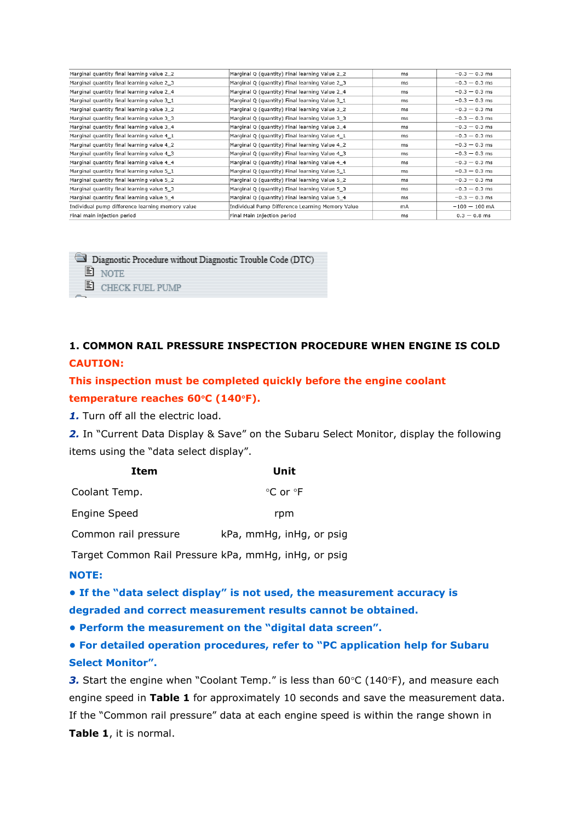| Marginal quantity final learning value 2_2       | Marginal Q (quantity) Final learning Value 2_2   | ms | $-0.3 - 0.3$ ms |
|--------------------------------------------------|--------------------------------------------------|----|-----------------|
| Marginal quantity final learning value 2_3       | Marginal Q (quantity) Final learning Value 2_3   | ms | $-0.3 - 0.3$ ms |
| Marginal quantity final learning value 2 4       | Marginal Q (quantity) Final learning Value 2_4   | ms | $-0.3 - 0.3$ ms |
| Marginal quantity final learning value 3_1       | Marginal Q (quantity) Final learning Value 3_1   | ms | $-0.3 - 0.3$ ms |
| Marginal quantity final learning value 3_2       | Marginal Q (quantity) Final learning Value 3_2   | ms | $-0.3 - 0.3$ ms |
| Marginal quantity final learning value 3_3       | Marginal Q (quantity) Final learning Value 3_3   | ms | $-0.3 - 0.3$ ms |
| Marginal quantity final learning value 3_4       | Marginal Q (quantity) Final learning Value 3_4   | ms | $-0.3 - 0.3$ ms |
| Marginal quantity final learning value 4_1       | Marginal Q (quantity) Final learning Value 4_1   | ms | $-0.3 - 0.3$ ms |
| Marginal quantity final learning value 4 2       | Marginal Q (quantity) Final learning Value 4_2   | ms | $-0.3 - 0.3$ ms |
| Marginal quantity final learning value 4_3       | Marginal Q (quantity) Final learning Value 4_3   | ms | $-0.3 - 0.3$ ms |
| Marginal quantity final learning value 4_4       | Marginal Q (quantity) Final learning Value 4_4   | ms | $-0.3 - 0.3$ ms |
| Marginal quantity final learning value 5_1       | Marginal Q (quantity) Final learning Value 5_1   | ms | $-0.3 - 0.3$ ms |
| Marginal quantity final learning value 5_2       | Marginal Q (quantity) Final learning Value 5_2   | ms | $-0.3 - 0.3$ ms |
| Marginal quantity final learning value 5_3       | Marginal Q (quantity) Final learning Value 5_3   | ms | $-0.3 - 0.3$ ms |
| Marginal quantity final learning value 5_4       | Marginal Q (quantity) Final learning Value 5_4   | ms | $-0.3 - 0.3$ ms |
| Individual pump difference learning memory value | Individual Pump Difference Learning Memory Value | mA | $-100 - 100$ mA |
| Final main injection period                      | Final Main Injection period                      | ms | $0.3 - 0.8$ ms  |
|                                                  |                                                  |    |                 |



## **1. COMMON RAIL PRESSURE INSPECTION PROCEDURE WHEN ENGINE IS COLD CAUTION:**

**This inspection must be completed quickly before the engine coolant temperature reaches 60C (140F).**

*1.* Turn off all the electric load.

2. In "Current Data Display & Save" on the Subaru Select Monitor, display the following items using the "data select display".

| Item                 | Unit                     |
|----------------------|--------------------------|
| Coolant Temp.        | °C or °F                 |
| Engine Speed         | rpm                      |
| Common rail pressure | kPa, mmHg, inHg, or psig |

Target Common Rail Pressure kPa, mmHg, inHg, or psig

#### **NOTE:**

**• If the "data select display" is not used, the measurement accuracy is degraded and correct measurement results cannot be obtained.**

**• Perform the measurement on the "digital data screen".**

**• For detailed operation procedures, refer to "PC application help for Subaru Select Monitor".**

**3.** Start the engine when "Coolant Temp." is less than 60°C (140°F), and measure each engine speed in **Table 1** for approximately 10 seconds and save the measurement data. If the "Common rail pressure" data at each engine speed is within the range shown in **Table 1**, it is normal.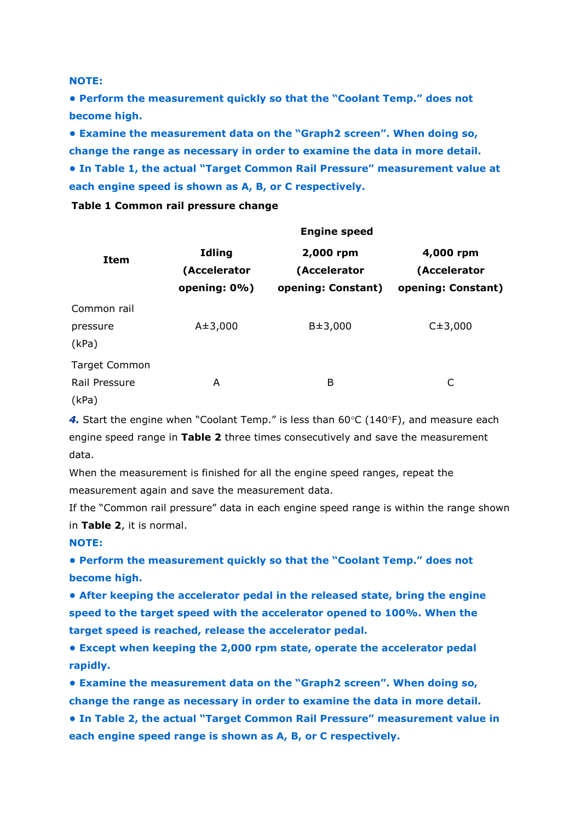**NOTE:**

**• Perform the measurement quickly so that the "Coolant Temp." does not become high.**

**• Examine the measurement data on the "Graph2 screen". When doing so, change the range as necessary in order to examine the data in more detail. • In Table 1, the actual "Target Common Rail Pressure" measurement value at each engine speed is shown as A, B, or C respectively.**

#### **Table 1 Common rail pressure change**

|                                                | <b>Engine speed</b>                           |                                                 |                                                 |  |
|------------------------------------------------|-----------------------------------------------|-------------------------------------------------|-------------------------------------------------|--|
| Item                                           | <b>Idling</b><br>(Accelerator<br>opening: 0%) | 2,000 rpm<br>(Accelerator<br>opening: Constant) | 4,000 rpm<br>(Accelerator<br>opening: Constant) |  |
| Common rail<br>pressure<br>(kPa)               | $A \pm 3,000$                                 | $B = 3,000$                                     | $C_{\pm}3,000$                                  |  |
| <b>Target Common</b><br>Rail Pressure<br>(kPa) | A                                             | Β                                               | C                                               |  |

4. Start the engine when "Coolant Temp." is less than 60°C (140°F), and measure each engine speed range in **Table 2** three times consecutively and save the measurement data.

When the measurement is finished for all the engine speed ranges, repeat the measurement again and save the measurement data.

If the "Common rail pressure" data in each engine speed range is within the range shown in **Table 2**, it is normal.

**NOTE:**

**• Perform the measurement quickly so that the "Coolant Temp." does not become high.**

**• After keeping the accelerator pedal in the released state, bring the engine speed to the target speed with the accelerator opened to 100%. When the target speed is reached, release the accelerator pedal.**

**• Except when keeping the 2,000 rpm state, operate the accelerator pedal rapidly.**

**• Examine the measurement data on the "Graph2 screen". When doing so, change the range as necessary in order to examine the data in more detail.**

**• In Table 2, the actual "Target Common Rail Pressure" measurement value in each engine speed range is shown as A, B, or C respectively.**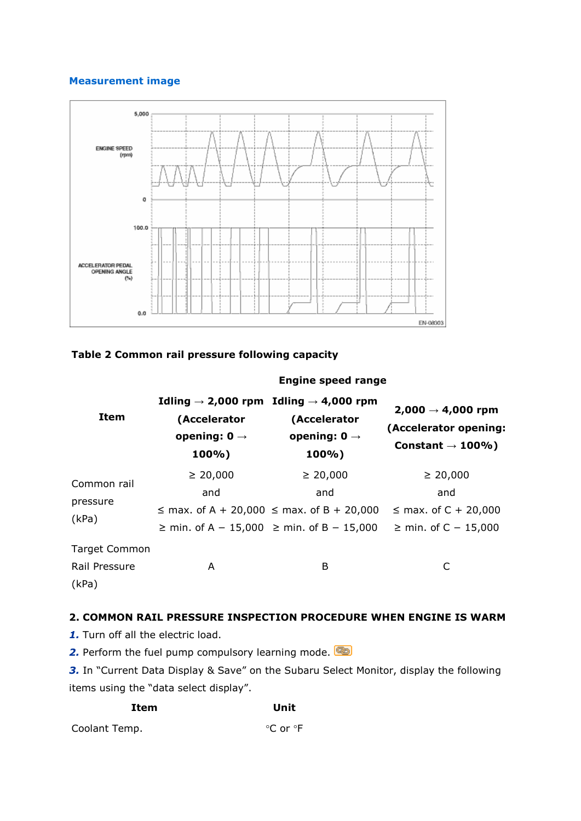#### **Measurement image**



#### **Table 2 Common rail pressure following capacity**

#### **Engine speed range**

| Item                                           | Idling $\rightarrow$ 2,000 rpm Idling $\rightarrow$ 4,000 rpm<br>(Accelerator<br>opening: $0 \rightarrow$<br>100%) | (Accelerator<br>opening: $0 \rightarrow$<br>100%)                                                                              | $2,000 \to 4,000$ rpm<br>(Accelerator opening:<br>Constant $\rightarrow$ 100%) |
|------------------------------------------------|--------------------------------------------------------------------------------------------------------------------|--------------------------------------------------------------------------------------------------------------------------------|--------------------------------------------------------------------------------|
| Common rail<br>pressure<br>(kPa)               | $\geq 20,000$<br>and                                                                                               | $\geq 20,000$<br>and<br>$\le$ max. of A + 20,000 $\le$ max. of B + 20,000<br>$\ge$ min. of A – 15,000 $\ge$ min. of B – 15,000 | $\geq 20,000$<br>and<br>$\leq$ max. of C + 20,000<br>≥ min. of C – 15,000      |
| <b>Target Common</b><br>Rail Pressure<br>(kPa) | A                                                                                                                  | B                                                                                                                              | C                                                                              |

#### **2. COMMON RAIL PRESSURE INSPECTION PROCEDURE WHEN ENGINE IS WARM**

1. Turn off all the electric load.

2. Perform the fuel pump compulsory learning mode.

3. In "Current Data Display & Save" on the Subaru Select Monitor, display the following items using the "data select display".

| Item          | Unit     |
|---------------|----------|
| Coolant Temp. | °C or °F |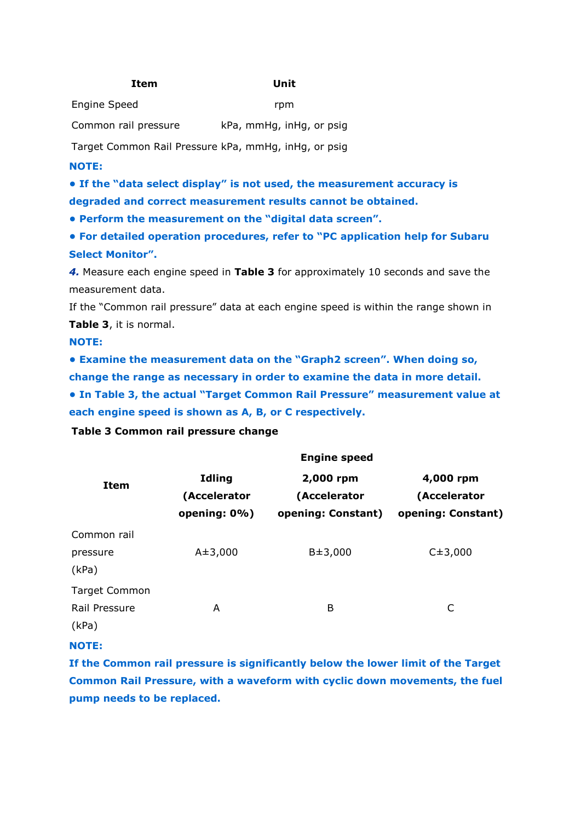#### **Item Unit**

Engine Speed rpm

Common rail pressure kPa, mmHg, inHg, or psig

Target Common Rail Pressure kPa, mmHg, inHg, or psig

#### **NOTE:**

**• If the "data select display" is not used, the measurement accuracy is degraded and correct measurement results cannot be obtained.**

**• Perform the measurement on the "digital data screen".**

**• For detailed operation procedures, refer to "PC application help for Subaru Select Monitor".**

*4.* Measure each engine speed in **Table 3** for approximately 10 seconds and save the measurement data.

If the "Common rail pressure" data at each engine speed is within the range shown in **Table 3**, it is normal.

**NOTE:**

**• Examine the measurement data on the "Graph2 screen". When doing so, change the range as necessary in order to examine the data in more detail.**

**• In Table 3, the actual "Target Common Rail Pressure" measurement value at each engine speed is shown as A, B, or C respectively.**

**Engine speed**

#### **Table 3 Common rail pressure change**

|                                                | <b>Eligilic Specu</b>                         |                                                 |                                                 |  |
|------------------------------------------------|-----------------------------------------------|-------------------------------------------------|-------------------------------------------------|--|
| <b>Item</b>                                    | <b>Idling</b><br>(Accelerator<br>opening: 0%) | 2,000 rpm<br>(Accelerator<br>opening: Constant) | 4,000 rpm<br>(Accelerator<br>opening: Constant) |  |
| Common rail<br>pressure<br>(kPa)               | $A \pm 3,000$                                 | $B = 3,000$                                     | $C_{\pm}3,000$                                  |  |
| <b>Target Common</b><br>Rail Pressure<br>(kPa) | A                                             | B                                               | C                                               |  |

#### **NOTE:**

**If the Common rail pressure is significantly below the lower limit of the Target Common Rail Pressure, with a waveform with cyclic down movements, the fuel pump needs to be replaced.**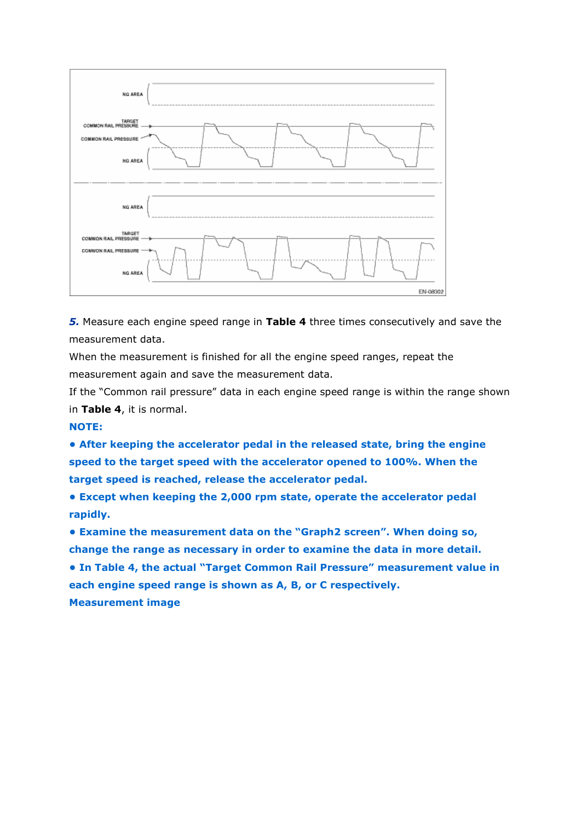

*5.* Measure each engine speed range in **Table 4** three times consecutively and save the measurement data.

When the measurement is finished for all the engine speed ranges, repeat the measurement again and save the measurement data.

If the "Common rail pressure" data in each engine speed range is within the range shown in **Table 4**, it is normal.

#### **NOTE:**

**• After keeping the accelerator pedal in the released state, bring the engine speed to the target speed with the accelerator opened to 100%. When the target speed is reached, release the accelerator pedal.**

**• Except when keeping the 2,000 rpm state, operate the accelerator pedal rapidly.**

**• Examine the measurement data on the "Graph2 screen". When doing so, change the range as necessary in order to examine the data in more detail. • In Table 4, the actual "Target Common Rail Pressure" measurement value in each engine speed range is shown as A, B, or C respectively. Measurement image**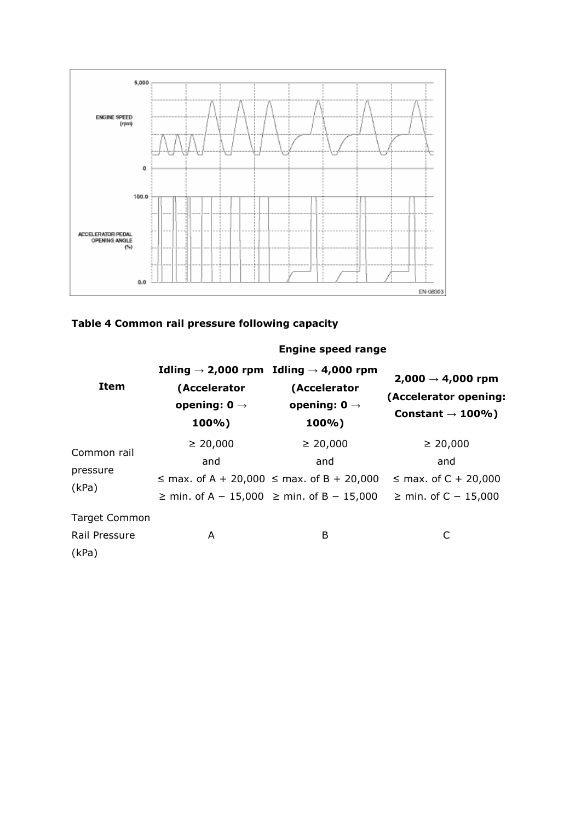



|                                                |                                                   | Engine speed range                                                                                                             |                                                                                |
|------------------------------------------------|---------------------------------------------------|--------------------------------------------------------------------------------------------------------------------------------|--------------------------------------------------------------------------------|
| Item                                           | (Accelerator<br>opening: $0 \rightarrow$<br>100%) | Idling $\rightarrow$ 2,000 rpm Idling $\rightarrow$ 4,000 rpm<br>(Accelerator<br>opening: $0 \rightarrow$<br>100%)             | $2,000 \to 4,000$ rpm<br>(Accelerator opening:<br>Constant $\rightarrow$ 100%) |
| Common rail<br>pressure<br>(kPa)               | $\geq 20,000$<br>and                              | $\geq 20,000$<br>and<br>$\le$ max. of A + 20,000 $\le$ max. of B + 20,000<br>$\ge$ min. of A - 15,000 $\ge$ min. of B - 15,000 | $\geq 20,000$<br>and<br>$\le$ max. of C + 20,000<br>≥ min. of C – 15,000       |
| <b>Target Common</b><br>Rail Pressure<br>(kPa) | A                                                 | B                                                                                                                              | C                                                                              |

### **Engine speed range**